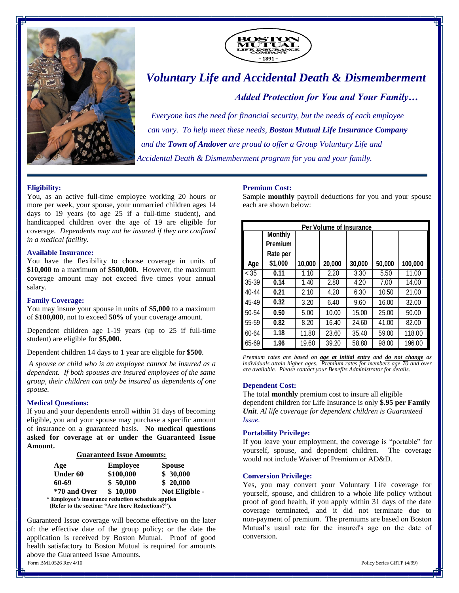



# *Voluntary Life and Accidental Death & Dismemberment*

*Added Protection for You and Your Family…*

*Everyone has the need for financial security, but the needs of each employee can vary. To help meet these needs, Boston Mutual Life Insurance Company and the Town of Andover are proud to offer a Group Voluntary Life and Accidental Death & Dismemberment program for you and your family.*

## **Eligibility:**

You, as an active full-time employee working 20 hours or more per week, your spouse, your unmarried children ages 14 days to 19 years (to age 25 if a full-time student), and handicapped children over the age of 19 are eligible for coverage. *Dependents may not be insured if they are confined in a medical facility.* 

#### **Available Insurance:**

You have the flexibility to choose coverage in units of **\$10,000** to a maximum of **\$500,000.** However, the maximum coverage amount may not exceed five times your annual salary.

### **Family Coverage:**

You may insure your spouse in units of **\$5,000** to a maximum of **\$100,000**, not to exceed **50%** of your coverage amount.

Dependent children age 1-19 years (up to 25 if full-time student) are eligible for **\$5,000.**

Dependent children 14 days to 1 year are eligible for **\$500**.

*A spouse or child who is an employee cannot be insured as a dependent. If both spouses are insured employees of the same group, their children can only be insured as dependents of one spouse.*

#### **Medical Questions:**

If you and your dependents enroll within 31 days of becoming eligible, you and your spouse may purchase a specific amount of insurance on a guaranteed basis. **No medical questions asked for coverage at or under the Guaranteed Issue Amount.**

**Guaranteed Issue Amounts:**

| Age                                               | <b>Employee</b> | <b>Spouse</b>  |  |
|---------------------------------------------------|-----------------|----------------|--|
| <b>Under 60</b>                                   | \$100,000       | \$30,000       |  |
| 60-69                                             | \$50,000        | \$20,000       |  |
| *70 and Over                                      | \$10,000        | Not Eligible - |  |
| * Employee's insurance reduction schedule applies |                 |                |  |

 **(Refer to the section: "Are there Reductions?").**

Form BML0526 Rev 4/10 Policy Series GRTP (4/99) Guaranteed Issue coverage will become effective on the later of: the effective date of the group policy; or the date the application is received by Boston Mutual. Proof of good health satisfactory to Boston Mutual is required for amounts above the Guaranteed Issue Amounts.

<u>Products and the product of the product of the product of the product of the product of the product of the product of the product of the product of the product of the product of the product of the product of the product o</u>

#### **Premium Cost:**

Sample **monthly** payroll deductions for you and your spouse each are shown below:

| <b>Per Volume of Insurance</b> |                |        |        |        |        |         |  |  |
|--------------------------------|----------------|--------|--------|--------|--------|---------|--|--|
|                                | <b>Monthly</b> |        |        |        |        |         |  |  |
|                                | <b>Premium</b> |        |        |        |        |         |  |  |
|                                | Rate per       |        |        |        |        |         |  |  |
| Age                            | \$1,000        | 10,000 | 20,000 | 30,000 | 50,000 | 100,000 |  |  |
| < 35                           | 0.11           | 1.10   | 2.20   | 3.30   | 5.50   | 11.00   |  |  |
| $35 - 39$                      | 0.14           | 1.40   | 2.80   | 4.20   | 7.00   | 14.00   |  |  |
| 40-44                          | 0.21           | 2.10   | 4.20   | 6.30   | 10.50  | 21.00   |  |  |
| 45-49                          | 0.32           | 3.20   | 6.40   | 9.60   | 16.00  | 32.00   |  |  |
| $50 - 54$                      | 0.50           | 5.00   | 10.00  | 15.00  | 25.00  | 50.00   |  |  |
| $55 - 59$                      | 0.82           | 8.20   | 16.40  | 24.60  | 41.00  | 82.00   |  |  |
| 60-64                          | 1.18           | 11.80  | 23.60  | 35.40  | 59.00  | 118.00  |  |  |
| 65-69                          | 1.96           | 19.60  | 39.20  | 58.80  | 98.00  | 196.00  |  |  |

*Premium rates are based on age at initial entry and do not change as individuals attain higher ages. Premium rates for members age 70 and over are available. Please contact your Benefits Administrator for details.*

#### **Dependent Cost:**

The total **monthly** premium cost to insure all eligible dependent children for Life Insurance is only \$.95 per Family *Unit. Al life coverage for dependent children is Guaranteed Issue.*

#### **Portability Privilege:**

If you leave your employment, the coverage is "portable" for yourself, spouse, and dependent children. The coverage would not include Waiver of Premium or AD&D.

#### **Conversion Privilege:**

Yes, you may convert your Voluntary Life coverage for yourself, spouse, and children to a whole life policy without proof of good health, if you apply within 31 days of the date coverage terminated, and it did not terminate due to non-payment of premium. The premiums are based on Boston Mutual's usual rate for the insured's age on the date of conversion.